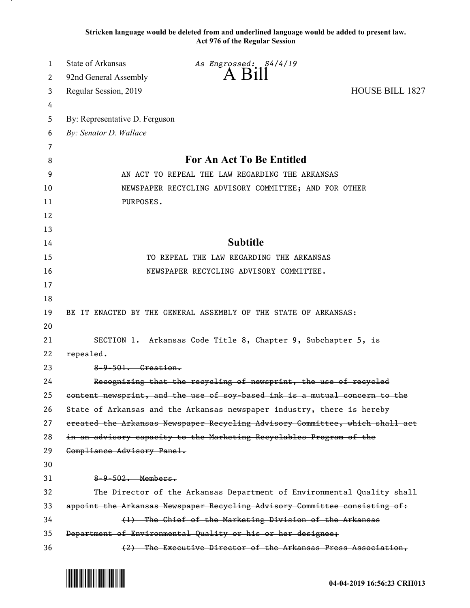**Stricken language would be deleted from and underlined language would be added to present law. Act 976 of the Regular Session**

| 1        | <b>State of Arkansas</b>                        | As Engrossed: S4/4/19<br>$A$ $B1II$                                                                                                   |                        |
|----------|-------------------------------------------------|---------------------------------------------------------------------------------------------------------------------------------------|------------------------|
| 2        | 92nd General Assembly                           |                                                                                                                                       |                        |
| 3        | Regular Session, 2019                           |                                                                                                                                       | <b>HOUSE BILL 1827</b> |
| 4<br>5   | By: Representative D. Ferguson                  |                                                                                                                                       |                        |
| 6        | By: Senator D. Wallace                          |                                                                                                                                       |                        |
| 7        |                                                 |                                                                                                                                       |                        |
| 8        |                                                 | For An Act To Be Entitled                                                                                                             |                        |
| 9        | AN ACT TO REPEAL THE LAW REGARDING THE ARKANSAS |                                                                                                                                       |                        |
| 10       |                                                 | NEWSPAPER RECYCLING ADVISORY COMMITTEE; AND FOR OTHER                                                                                 |                        |
| 11       | PURPOSES.                                       |                                                                                                                                       |                        |
| 12       |                                                 |                                                                                                                                       |                        |
| 13       |                                                 |                                                                                                                                       |                        |
| 14       |                                                 | <b>Subtitle</b>                                                                                                                       |                        |
| 15       |                                                 | TO REPEAL THE LAW REGARDING THE ARKANSAS                                                                                              |                        |
| 16       |                                                 | NEWSPAPER RECYCLING ADVISORY COMMITTEE.                                                                                               |                        |
| 17       |                                                 |                                                                                                                                       |                        |
| 18       |                                                 |                                                                                                                                       |                        |
| 19       |                                                 | BE IT ENACTED BY THE GENERAL ASSEMBLY OF THE STATE OF ARKANSAS:                                                                       |                        |
| 20       |                                                 |                                                                                                                                       |                        |
| 21       |                                                 | SECTION 1. Arkansas Code Title 8, Chapter 9, Subchapter 5, is                                                                         |                        |
| 22       | repealed.                                       |                                                                                                                                       |                        |
| 23       | $8-9-501$ . Greation.                           |                                                                                                                                       |                        |
| 24       |                                                 | Recognizing that the recycling of newsprint, the use of recycled                                                                      |                        |
| 25       |                                                 | content newsprint, and the use of soy-based ink is a mutual concern to the                                                            |                        |
| 26       |                                                 | State of Arkansas and the Arkansas newspaper industry, there is hereby                                                                |                        |
| 27       |                                                 | ereated the Arkansas Newspaper Recycling Advisory Committee, which shall act                                                          |                        |
| 28       |                                                 | in an advisory capacity to the Marketing Recyclables Program of the                                                                   |                        |
| 29       | Compliance Advisory Panel.                      |                                                                                                                                       |                        |
| 30       |                                                 |                                                                                                                                       |                        |
| 31       | $8-9-502$ . Members.                            |                                                                                                                                       |                        |
| 32       |                                                 | The Director of the Arkansas Department of Environmental Quality shall                                                                |                        |
| 33<br>34 |                                                 | appoint the Arkansas Newspaper Recycling Advisory Committee consisting of:<br>(1) The Chief of the Marketing Division of the Arkansas |                        |
| 35       |                                                 | Department of Environmental Quality or his or her designee;                                                                           |                        |
| 36       |                                                 | (2) The Executive Director of the Arkansas Press Association,                                                                         |                        |

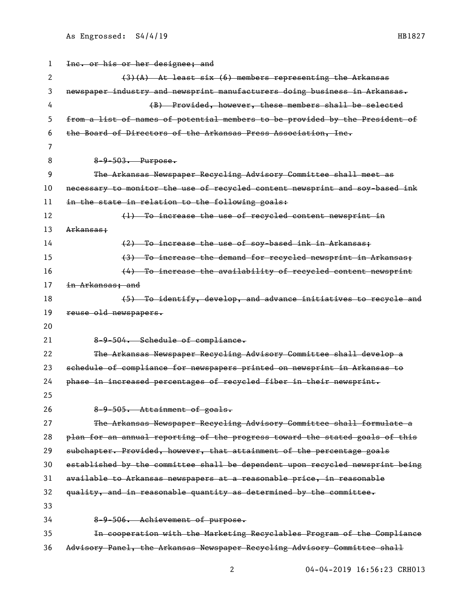| 1  | Inc. or his or her designee; and                                              |
|----|-------------------------------------------------------------------------------|
| 2  | $(3)$ (A) At least six (6) members representing the Arkansas                  |
| 3  | newspaper industry and newsprint manufacturers doing business in Arkansas.    |
| 4  | (B) Provided, however, these members shall be selected                        |
| 5  | from a list of names of potential members to be provided by the President of  |
| 6  | the Board of Directors of the Arkansas Press Association, Inc.                |
| 7  |                                                                               |
| 8  | 8-9-503. Purpose.                                                             |
| 9  | The Arkansas Newspaper Recycling Advisory Committee shall meet as             |
| 10 | necessary to monitor the use of recycled content newsprint and soy-based ink  |
| 11 | in the state in relation to the following goals:                              |
| 12 | (1) To increase the use of recycled content newsprint in                      |
| 13 | Arkansas;                                                                     |
| 14 | (2) To increase the use of soy-based ink in Arkansas;                         |
| 15 | (3) To increase the demand for recycled newsprint in Arkansas;                |
| 16 | (4) To increase the availability of recycled content newsprint                |
| 17 | in Arkansas; and                                                              |
| 18 | (5) To identify, develop, and advance initiatives to recycle and              |
| 19 | reuse old newspapers.                                                         |
|    |                                                                               |
| 20 |                                                                               |
| 21 | 8-9-504. Schedule of compliance.                                              |
| 22 | The Arkansas Newspaper Recycling Advisory Committee shall develop a           |
| 23 | schedule of compliance for newspapers printed on newsprint in Arkansas to     |
| 24 | phase in increased percentages of recycled fiber in their newsprint.          |
| 25 |                                                                               |
| 26 | 8-9-505. Attainment of goals.                                                 |
| 27 | The Arkansas Newspaper Recycling Advisory Committee shall formulate a         |
| 28 | plan for an annual reporting of the progress toward the stated goals of this  |
| 29 | subchapter. Provided, however, that attainment of the percentage goals        |
| 30 | established by the committee shall be dependent upon recycled newsprint being |
| 31 | available to Arkansas newspapers at a reasonable price, in reasonable         |
| 32 | quality, and in reasonable quantity as determined by the committee.           |
| 33 |                                                                               |
| 34 | 8-9-506. Achievement of purpose.                                              |
| 35 | In cooperation with the Marketing Recyclables Program of the Compliance       |